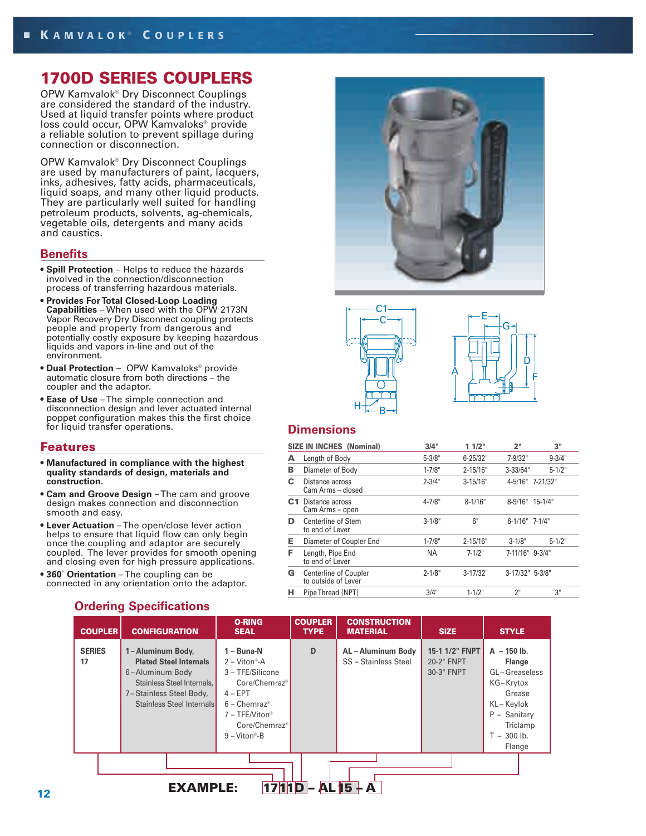# **1700D SERIES COUPLERS**

OPW Kamvalok® Dry Disconnect Couplings are considered the standard of the industry. Used at liquid transfer points where product loss could occur, OPW Kamvaloks® provide a reliable solution to prevent spillage during connection or disconnection.

OPW Kamvalok® Dry Disconnect Couplings are used by manufacturers of paint, lacquers, inks, adhesives, fatty acids, pharmaceuticals, liquid soaps, and many other liquid products. They are particularly well suited for handling petroleum products, solvents, ag-chemicals, vegetable oils, detergents and many acids and caustics.

#### **Benefits**

- **Spill Protection** Helps to reduce the hazards involved in the connection/disconnection process of transferring hazardous materials.
- **Provides For Total Closed-Loop Loading Capabilities** – When used with the OPW 2173N Vapor Recovery Dry Disconnect coupling protects people and property from dangerous and potentially costly exposure by keeping hazardous liquids and vapors in-line and out of the environment.
- **Dual Protection** OPW Kamvaloks® provide automatic closure from both directions – the coupler and the adaptor.
- **Ease of Use** The simple connection and disconnection design and lever actuated internal poppet configuration makes this the first choice for liquid transfer operations.

#### **Features**

- **Manufactured in compliance with the highest quality standards of design, materials and construction.**
- **Cam and Groove Design** The cam and groove design makes connection and disconnection smooth and easy.
- **Lever Actuation** The open/close lever action helps to ensure that liquid flow can only begin once the coupling and adaptor are securely coupled. The lever provides for smooth opening and closing even for high pressure applications.
- **360˚ Orientation** The coupling can be connected in any orientation onto the adaptor.







## **Dimensions**

|                | <b>SIZE IN INCHES (Nominal)</b>              | 3/4"       | 11/2"        | 2"               | 3"               |
|----------------|----------------------------------------------|------------|--------------|------------------|------------------|
| А              | Length of Body                               | $5 - 3/8"$ | $6 - 25/32"$ | 7-9/32"          | $9 - 3/4"$       |
| в              | Diameter of Body                             | $1 - 7/8"$ | $2 - 15/16"$ | $3 - 33/64"$     | $5 - 1/2"$       |
| С              | Distance across<br>Cam Arms – closed         | $2 - 3/4"$ | $3 - 15/16"$ |                  | 4-5/16" 7-21/32" |
| C <sub>1</sub> | Distance across<br>Cam Arms - open           | $4 - 7/8"$ | $8 - 1/16"$  | 8-9/16" 15-1/4"  |                  |
| D              | Centerline of Stem<br>to end of Lever        | $3 - 1/8"$ | 6"           | $6-1/16"$ 7-1/4" |                  |
| Е              | Diameter of Coupler End                      | $1 - 7/8"$ | $2 - 15/16"$ | $3 - 1/8"$       | $5 - 1/2"$       |
| F              | Length, Pipe End<br>to end of Lever          | <b>NA</b>  | $7 - 1/2"$   | 7-11/16" 9-3/4"  |                  |
| G              | Centerline of Coupler<br>to outside of Lever | $2 - 1/8"$ | $3 - 17/32"$ | 3-17/32" 5-3/8"  |                  |
| н              | Pipe Thread (NPT)                            | 3/4"       | $1 - 1/2"$   | 2"               | 3"               |

| <b>COUPLER</b>                | <b>CONFIGURATION</b>                                                                                                                                       | <b>O-RING</b><br><b>SEAL</b>                                                                                                                                                                                                  | <b>COUPLER</b><br><b>TYPE</b> | <b>CONSTRUCTION</b><br><b>MATERIAL</b>     | <b>SIZE</b>                                | <b>STYLE</b>                                                                                                                               |  |  |
|-------------------------------|------------------------------------------------------------------------------------------------------------------------------------------------------------|-------------------------------------------------------------------------------------------------------------------------------------------------------------------------------------------------------------------------------|-------------------------------|--------------------------------------------|--------------------------------------------|--------------------------------------------------------------------------------------------------------------------------------------------|--|--|
| <b>SERIES</b><br>17           | 1-Aluminum Body,<br><b>Plated Steel Internals</b><br>6-Aluminum Body<br>Stainless Steel Internals.<br>7-Stainless Steel Body,<br>Stainless Steel Internals | 1 - Buna-N<br>$2 - \nUpsilon$ - Viton®-A<br>3 - TFE/Silicone<br>Core/Chemraz <sup>®</sup><br>$4 - EPT$<br>$6 -$ Chemraz <sup>®</sup><br>$7 - TFE/Viton$ <sup>®</sup><br>Core/Chemraz <sup>®</sup><br>$9 - \text{Viton}^* - B$ | D                             | AL - Aluminum Body<br>SS - Stainless Steel | 15-1 1/2" FNPT<br>20-2" FNPT<br>30-3" FNPT | $A - 150$ lb.<br><b>Flange</b><br>GL-Greaseless<br>KG-Krytox<br>Grease<br>KL-Keylok<br>P - Sanitary<br>Triclamp<br>$T - 300$ lb.<br>Flange |  |  |
| <b>AL 15</b><br>EXAMPLE:<br>A |                                                                                                                                                            |                                                                                                                                                                                                                               |                               |                                            |                                            |                                                                                                                                            |  |  |

## **Ordering Specifications**